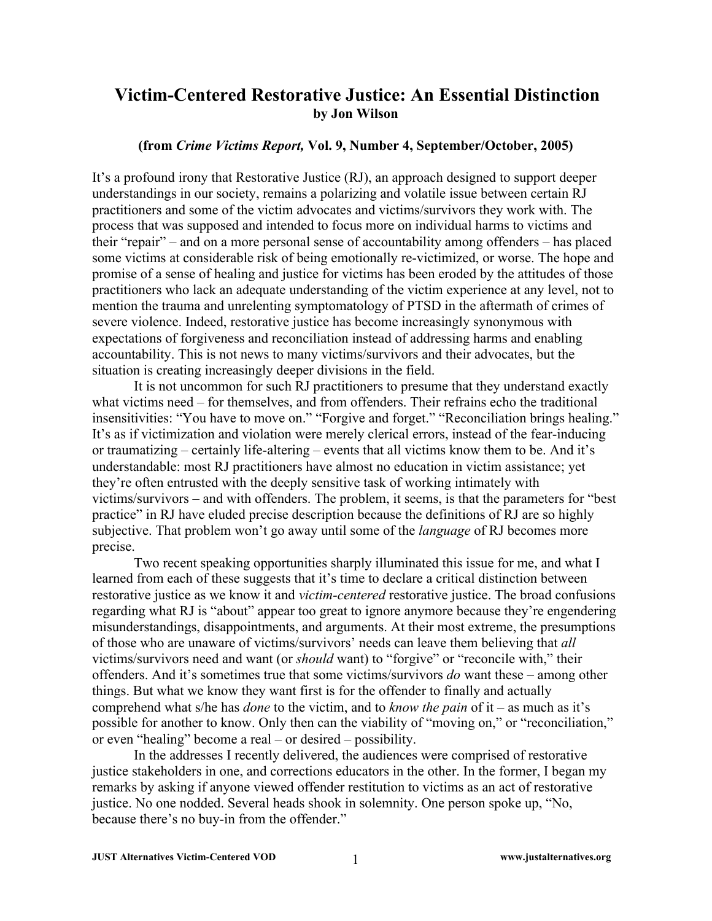## **Victim-Centered Restorative Justice: An Essential Distinction by Jon Wilson**

## **(from** *Crime Victims Report,* **Vol. 9, Number 4, September/October, 2005)**

It's a profound irony that Restorative Justice (RJ), an approach designed to support deeper understandings in our society, remains a polarizing and volatile issue between certain RJ practitioners and some of the victim advocates and victims/survivors they work with. The process that was supposed and intended to focus more on individual harms to victims and their "repair" – and on a more personal sense of accountability among offenders – has placed some victims at considerable risk of being emotionally re-victimized, or worse. The hope and promise of a sense of healing and justice for victims has been eroded by the attitudes of those practitioners who lack an adequate understanding of the victim experience at any level, not to mention the trauma and unrelenting symptomatology of PTSD in the aftermath of crimes of severe violence. Indeed, restorative justice has become increasingly synonymous with expectations of forgiveness and reconciliation instead of addressing harms and enabling accountability. This is not news to many victims/survivors and their advocates, but the situation is creating increasingly deeper divisions in the field.

It is not uncommon for such RJ practitioners to presume that they understand exactly what victims need – for themselves, and from offenders. Their refrains echo the traditional insensitivities: "You have to move on." "Forgive and forget." "Reconciliation brings healing." It's as if victimization and violation were merely clerical errors, instead of the fear-inducing or traumatizing – certainly life-altering – events that all victims know them to be. And it's understandable: most RJ practitioners have almost no education in victim assistance; yet they're often entrusted with the deeply sensitive task of working intimately with victims/survivors – and with offenders. The problem, it seems, is that the parameters for "best practice" in RJ have eluded precise description because the definitions of RJ are so highly subjective. That problem won't go away until some of the *language* of RJ becomes more precise.

Two recent speaking opportunities sharply illuminated this issue for me, and what I learned from each of these suggests that it's time to declare a critical distinction between restorative justice as we know it and *victim-centered* restorative justice. The broad confusions regarding what RJ is "about" appear too great to ignore anymore because they're engendering misunderstandings, disappointments, and arguments. At their most extreme, the presumptions of those who are unaware of victims/survivors' needs can leave them believing that *all* victims/survivors need and want (or *should* want) to "forgive" or "reconcile with," their offenders. And it's sometimes true that some victims/survivors *do* want these – among other things. But what we know they want first is for the offender to finally and actually comprehend what s/he has *done* to the victim, and to *know the pain* of it – as much as it's possible for another to know. Only then can the viability of "moving on," or "reconciliation," or even "healing" become a real – or desired – possibility.

In the addresses I recently delivered, the audiences were comprised of restorative justice stakeholders in one, and corrections educators in the other. In the former, I began my remarks by asking if anyone viewed offender restitution to victims as an act of restorative justice. No one nodded. Several heads shook in solemnity. One person spoke up, "No, because there's no buy-in from the offender."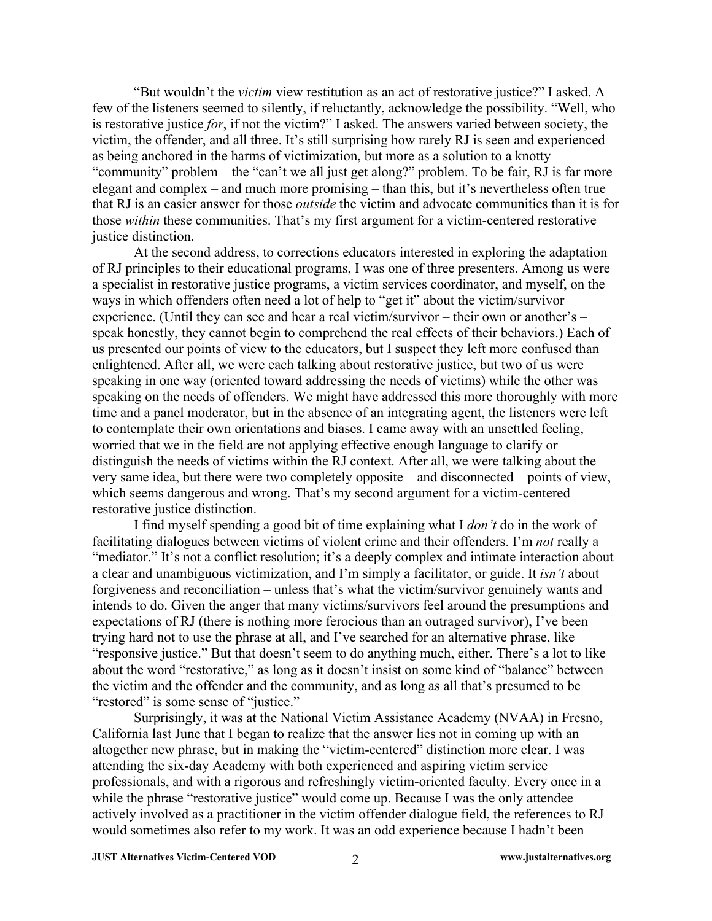"But wouldn't the *victim* view restitution as an act of restorative justice?" I asked. A few of the listeners seemed to silently, if reluctantly, acknowledge the possibility. "Well, who is restorative justice *for*, if not the victim?" I asked. The answers varied between society, the victim, the offender, and all three. It's still surprising how rarely RJ is seen and experienced as being anchored in the harms of victimization, but more as a solution to a knotty "community" problem – the "can't we all just get along?" problem. To be fair, RJ is far more elegant and complex – and much more promising – than this, but it's nevertheless often true that RJ is an easier answer for those *outside* the victim and advocate communities than it is for those *within* these communities. That's my first argument for a victim-centered restorative justice distinction.

At the second address, to corrections educators interested in exploring the adaptation of RJ principles to their educational programs, I was one of three presenters. Among us were a specialist in restorative justice programs, a victim services coordinator, and myself, on the ways in which offenders often need a lot of help to "get it" about the victim/survivor experience. (Until they can see and hear a real victim/survivor – their own or another's – speak honestly, they cannot begin to comprehend the real effects of their behaviors.) Each of us presented our points of view to the educators, but I suspect they left more confused than enlightened. After all, we were each talking about restorative justice, but two of us were speaking in one way (oriented toward addressing the needs of victims) while the other was speaking on the needs of offenders. We might have addressed this more thoroughly with more time and a panel moderator, but in the absence of an integrating agent, the listeners were left to contemplate their own orientations and biases. I came away with an unsettled feeling, worried that we in the field are not applying effective enough language to clarify or distinguish the needs of victims within the RJ context. After all, we were talking about the very same idea, but there were two completely opposite – and disconnected – points of view, which seems dangerous and wrong. That's my second argument for a victim-centered restorative justice distinction.

I find myself spending a good bit of time explaining what I *don't* do in the work of facilitating dialogues between victims of violent crime and their offenders. I'm *not* really a "mediator." It's not a conflict resolution; it's a deeply complex and intimate interaction about a clear and unambiguous victimization, and I'm simply a facilitator, or guide. It *isn't* about forgiveness and reconciliation – unless that's what the victim/survivor genuinely wants and intends to do. Given the anger that many victims/survivors feel around the presumptions and expectations of RJ (there is nothing more ferocious than an outraged survivor), I've been trying hard not to use the phrase at all, and I've searched for an alternative phrase, like "responsive justice." But that doesn't seem to do anything much, either. There's a lot to like about the word "restorative," as long as it doesn't insist on some kind of "balance" between the victim and the offender and the community, and as long as all that's presumed to be "restored" is some sense of "justice."

Surprisingly, it was at the National Victim Assistance Academy (NVAA) in Fresno, California last June that I began to realize that the answer lies not in coming up with an altogether new phrase, but in making the "victim-centered" distinction more clear. I was attending the six-day Academy with both experienced and aspiring victim service professionals, and with a rigorous and refreshingly victim-oriented faculty. Every once in a while the phrase "restorative justice" would come up. Because I was the only attendee actively involved as a practitioner in the victim offender dialogue field, the references to RJ would sometimes also refer to my work. It was an odd experience because I hadn't been